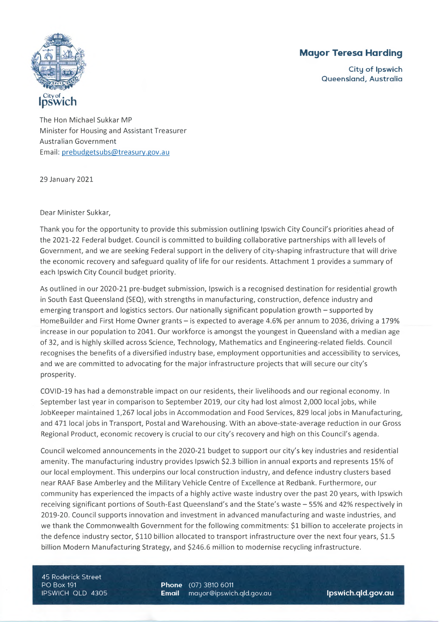# **Mayor Teresa Harding**

**City of Ipswich Queensland, Australia**



The Hon Michael Sukkar MP Minister for Housing and Assistant Treasurer Australian Government Email: [prebudgetsubs@treasury.eov.au](mailto:prebudgetsubs@treasury.eov.au)

29 January 2021

Dear Minister Sukkar,

Thank you for the opportunity to provide this submission outlining Ipswich City Council's priorities ahead of the 2021-22 Federal budget. Council is committed to building collaborative partnerships with all levels of Government, and we are seeking Federal support in the delivery of city-shaping infrastructure that will drive the economic recovery and safeguard quality of life for our residents. Attachment 1 provides <sup>a</sup> summary of each Ipswich City Council budget priority.

As outlined in our 2020-21 pre-budget submission, Ipswich is <sup>a</sup> recognised destination for residential growth in South East Queensland (SEQ), with strengths in manufacturing, construction, defence industry and emerging transport and logistics sectors. Our nationally significant population growth - supported by HomeBuilder and First Home Owner grants – is expected to average 4.6% per annum to 2036, driving a 179% increase in our population to 2041. Our workforce is amongst the youngest in Queensland with <sup>a</sup> median age of 32, and is highly skilled across Science, Technology, Mathematics and Engineering-related fields. Council recognises the benefits of <sup>a</sup> diversified industry base, employment opportunities and accessibility to services, and we are committed to advocating for the major infrastructure projects that will secure our city's prosperity.

COVID-19 has had <sup>a</sup> demonstrable impact on our residents, their livelihoods and our regional economy. In September last year in comparison to September 2019, our city had lost almost 2,000 local jobs, while JobKeeper maintained 1,267 local jobs in Accommodation and Food Services, 829 local jobs in Manufacturing, and 471 local jobs in Transport, Postal and Warehousing. With an above-state-average reduction in our Gross Regional Product, economic recovery is crucial to our city's recovery and high on this Council's agenda.

Council welcomed announcements in the 2020-21 budget to support our city's key industries and residential amenity. The manufacturing industry provides Ipswich \$2.3 billion in annual exports and represents 15% of our local employment. This underpins our local construction industry, and defence industry clusters based near RAAF Base Amberley and the Military Vehicle Centre of Excellence at Redbank. Furthermore, our community has experienced the impacts of <sup>a</sup> highly active waste industry over the past 20 years, with Ipswich receiving significant portions of South-East Queensland's and the State's waste - 55% and 42% respectively in 2019-20. Council supports innovation and investment in advanced manufacturing and waste industries, and we thank the Commonwealth Government for the following commitments: \$1 billion to accelerate projects in the defence industry sector, \$110 billion allocated to transport infrastructure over the next four years, \$1.5 billion Modern Manufacturing Strategy, and \$246.6 million to modernise recycling infrastructure.

45 Roderick Street PO Box 191 IPSWICH QLD 4305

**Phone** (07) 3810 6011 **Email** [mayor@ipswich.qlcl.gov.au](mailto:mayor@ipswich.qlcl.gov.au) **lpswich.qld.gov.au**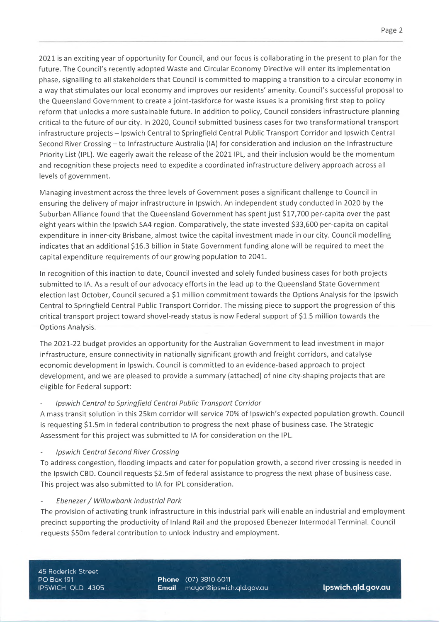2021 is an exciting year of opportunity for Council, and our focus is collaborating in the present to plan for the future. The Council's recently adopted Waste and Circular Economy Directive will enter its implementation phase, signalling to all stakeholders that Council is committed to mapping <sup>a</sup> transition to <sup>a</sup> circular economy in <sup>a</sup> way that stimulates our local economy and improves our residents' amenity. Council's successful proposal to the Queensland Government to create <sup>a</sup> joint-taskforce for waste issues is <sup>a</sup> promising first step to policy reform that unlocks <sup>a</sup> more sustainable future. In addition to policy, Council considers infrastructure planning critical to the future of our city. In 2020, Council submitted business cases for two transformational transport infrastructure projects - Ipswich Central to Springfield Central Public Transport Corridor and Ipswich Central Second River Crossing - to Infrastructure Australia (IA) for consideration and inclusion on the Infrastructure Priority List (IPL). We eagerly await the release of the 2021 IPL, and their inclusion would be the momentum and recognition these projects need to expedite <sup>a</sup> coordinated infrastructure delivery approach across all levels of government.

Managing investment across the three levels of Government poses <sup>a</sup> significant challenge to Council in ensuring the delivery of major infrastructure in Ipswich. An independent study conducted in 2020 by the Suburban Alliance found that the Queensland Government has spent just \$17,700 per-capita over the past eight years within the Ipswich SA4 region. Comparatively, the state invested \$33,600 per-capita on capital expenditure in inner-city Brisbane, almost twice the capital investment made in our city. Council modelling indicates that an additional \$16.3 billion in State Government funding alone will be required to meet the capital expenditure requirements of our growing population to 2041.

In recognition of this inaction to date, Council invested and solely funded business cases for both projects submitted to IA. As <sup>a</sup> result of our advocacy efforts in the lead up to the Queensland State Government election last October, Council secured <sup>a</sup> \$1 million commitment towards the Options Analysis for the Ipswich Central to Springfield Central Public Transport Corridor. The missing piece to support the progression of this critical transport project toward shovel-ready status is now Federal support of \$1.5 million towards the Options Analysis.

The 2021-22 budget provides an opportunity for the Australian Government to lead investment in major infrastructure, ensure connectivity in nationally significant growth and freight corridors, and catalyse economic development in Ipswich. Council is committed to an evidence-based approach to project development, and we are pleased to provide <sup>a</sup> summary (attached) of nine city-shaping projects that are eligible for Federal support:

# *Ipswich Central to Springfield Central Public Transport Corridor*

A mass transit solution in this 25km corridor will service 70% of Ipswich's expected population growth. Council is requesting \$1.5m in federal contribution to progress the next phase of business case. The Strategic Assessment for this project was submitted to IA for consideration on the IPL.

### *Ipswich Central Second River Crossing*

To address congestion, flooding impacts and cater for population growth, <sup>a</sup> second river crossing is needed in the Ipswich CBD. Council requests \$2.5m of federal assistance to progress the next phase of business case. This project was also submitted to IA for IPL consideration.

### *Ebenezer/ Willowbank Industrial Park*

The provision of activating trunk infrastructure in this industrial park will enable an industrial and employment precinct supporting the productivity of Inland Rail and the proposed Ebenezer Intermodal Terminal. Council requests \$50m federal contribution to unlock industry and employment.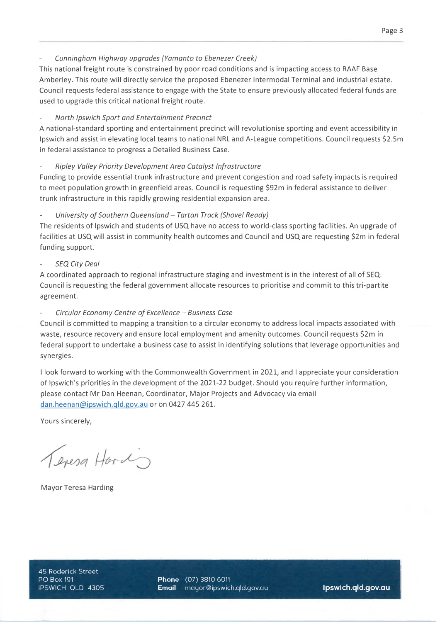*Cunningham Highway upgrades (Yamanto to Ebenezer Creek)*

This national freight route is constrained by poor road conditions and is impacting access to RAAF Base Amberley. This route will directly service the proposed Ebenezer Intermodal Terminal and industrial estate. Council requests federal assistance to engage with the State to ensure previously allocated federal funds are used to upgrade this critical national freight route.

# *North Ipswich Sport and Entertainment Precinct*

A national-standard sporting and entertainment precinct will revolutionise sporting and event accessibility in Ipswich and assist in elevating local teams to national NRL and A-League competitions. Council requests \$2.5m in federal assistance to progress <sup>a</sup> Detailed Business Case.

### *Ripley Valley Priority Development Area Catalyst Infrastructure*

Funding to provide essential trunk infrastructure and prevent congestion and road safety impacts is required to meet population growth in greenfield areas. Council is requesting \$92m in federal assistance to deliver trunk infrastructure in this rapidly growing residential expansion area.

### *Hiversity* of Southern Queensland - Tartan Track (Shovel Ready)

The residents of Ipswich and students of USQ have no access to world-class sporting facilities. An upgrade of facilities at USQ will assist in community health outcomes and Council and USQ are requesting \$2m in federal funding support.

### *SEQ City Deal*

A coordinated approach to regional infrastructure staging and investment is in the interest of all of SEQ. Council is requesting the federal government allocate resources to prioritise and commit to this tri-partite agreement.

# *Circular Economy Centre ofExcellence - Business Case*

Council is committed to mapping <sup>a</sup> transition to <sup>a</sup> circular economy to address local impacts associated with waste, resource recovery and ensure local employment and amenity outcomes. Council requests \$2m in federal support to undertake <sup>a</sup> business case to assist in identifying solutions that leverage opportunities and synergies.

<sup>I</sup> look forward to working with the Commonwealth Government in 2021, and <sup>I</sup> appreciate your consideration of Ipswich's priorities in the development of the 2021-22 budget. Should you require further information, please contact Mr Dan Heenan, Coordinator, Major Projects and Advocacy via email dan.heenan@ipswich.qld.gov.au or on 0427 445 261.

Yours sincerely,

Tevesa Hard

Mayor Teresa Harding

45 Roderick Street

**Phone** (07) 3810 6011 IPSWICH QLD 4305 **Email** [mayor@ipswich.qld.gov.au](mailto:mayor@ipswich.qld.gov.au) **lpswich.qld.gov.au**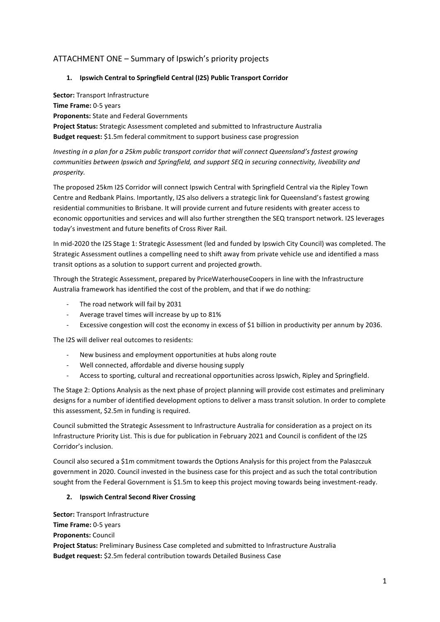# ATTACHMENT ONE – Summary of Ipswich's priority projects

#### **1. Ipswich Central to Springfield Central (I2S) Public Transport Corridor**

**Sector:** Transport Infrastructure **Time Frame:** 0-5 years **Proponents:** State and Federal Governments

**Project Status:** Strategic Assessment completed and submitted to Infrastructure Australia **Budget request:** \$1.5m federal commitment to support business case progression

*Investing in a plan for a 25km public transport corridor that will connect Queensland's fastest growing communities between Ipswich and Springfield, and support SEQ in securing connectivity, liveability and prosperity.* 

The proposed 25km I2S Corridor will connect Ipswich Central with Springfield Central via the Ripley Town Centre and Redbank Plains. Importantly, I2S also delivers a strategic link for Queensland's fastest growing residential communities to Brisbane. It will provide current and future residents with greater access to economic opportunities and services and will also further strengthen the SEQ transport network. I2S leverages today's investment and future benefits of Cross River Rail.

In mid-2020 the I2S Stage 1: Strategic Assessment (led and funded by Ipswich City Council) was completed. The Strategic Assessment outlines a compelling need to shift away from private vehicle use and identified a mass transit options as a solution to support current and projected growth.

Through the Strategic Assessment, prepared by PriceWaterhouseCoopers in line with the Infrastructure Australia framework has identified the cost of the problem, and that if we do nothing:

- The road network will fail by 2031
- Average travel times will increase by up to 81%
- Excessive congestion will cost the economy in excess of \$1 billion in productivity per annum by 2036.

The I2S will deliver real outcomes to residents:

- New business and employment opportunities at hubs along route
- Well connected, affordable and diverse housing supply
- Access to sporting, cultural and recreational opportunities across Ipswich, Ripley and Springfield.

The Stage 2: Options Analysis as the next phase of project planning will provide cost estimates and preliminary designs for a number of identified development options to deliver a mass transit solution. In order to complete this assessment, \$2.5m in funding is required.

Council submitted the Strategic Assessment to Infrastructure Australia for consideration as a project on its Infrastructure Priority List. This is due for publication in February 2021 and Council is confident of the I2S Corridor's inclusion.

Council also secured a \$1m commitment towards the Options Analysis for this project from the Palaszczuk government in 2020. Council invested in the business case for this project and as such the total contribution sought from the Federal Government is \$1.5m to keep this project moving towards being investment-ready.

#### **2. Ipswich Central Second River Crossing**

**Sector:** Transport Infrastructure **Time Frame:** 0-5 years **Proponents:** Council **Project Status:** Preliminary Business Case completed and submitted to Infrastructure Australia **Budget request:** \$2.5m federal contribution towards Detailed Business Case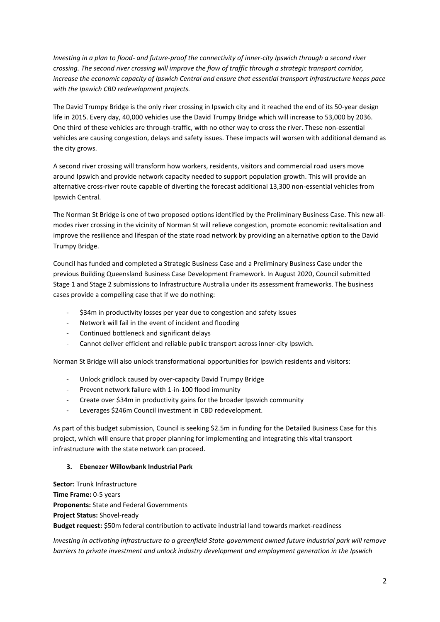*Investing in a plan to flood- and future-proof the connectivity of inner-city Ipswich through a second river crossing. The second river crossing will improve the flow of traffic through a strategic transport corridor, increase the economic capacity of Ipswich Central and ensure that essential transport infrastructure keeps pace with the Ipswich CBD redevelopment projects.* 

The David Trumpy Bridge is the only river crossing in Ipswich city and it reached the end of its 50-year design life in 2015. Every day, 40,000 vehicles use the David Trumpy Bridge which will increase to 53,000 by 2036. One third of these vehicles are through-traffic, with no other way to cross the river. These non-essential vehicles are causing congestion, delays and safety issues. These impacts will worsen with additional demand as the city grows.

A second river crossing will transform how workers, residents, visitors and commercial road users move around Ipswich and provide network capacity needed to support population growth. This will provide an alternative cross-river route capable of diverting the forecast additional 13,300 non-essential vehicles from Ipswich Central.

The Norman St Bridge is one of two proposed options identified by the Preliminary Business Case. This new allmodes river crossing in the vicinity of Norman St will relieve congestion, promote economic revitalisation and improve the resilience and lifespan of the state road network by providing an alternative option to the David Trumpy Bridge.

Council has funded and completed a Strategic Business Case and a Preliminary Business Case under the previous Building Queensland Business Case Development Framework. In August 2020, Council submitted Stage 1 and Stage 2 submissions to Infrastructure Australia under its assessment frameworks. The business cases provide a compelling case that if we do nothing:

- \$34m in productivity losses per year due to congestion and safety issues
- Network will fail in the event of incident and flooding
- Continued bottleneck and significant delays
- Cannot deliver efficient and reliable public transport across inner-city Ipswich.

Norman St Bridge will also unlock transformational opportunities for Ipswich residents and visitors:

- Unlock gridlock caused by over-capacity David Trumpy Bridge
- Prevent network failure with 1-in-100 flood immunity
- Create over \$34m in productivity gains for the broader Ipswich community
- Leverages \$246m Council investment in CBD redevelopment.

As part of this budget submission, Council is seeking \$2.5m in funding for the Detailed Business Case for this project, which will ensure that proper planning for implementing and integrating this vital transport infrastructure with the state network can proceed.

#### **3. Ebenezer Willowbank Industrial Park**

**Sector:** Trunk Infrastructure **Time Frame:** 0-5 years **Proponents:** State and Federal Governments **Project Status:** Shovel-ready **Budget request:** \$50m federal contribution to activate industrial land towards market-readiness

*Investing in activating infrastructure to a greenfield State-government owned future industrial park will remove barriers to private investment and unlock industry development and employment generation in the Ipswich*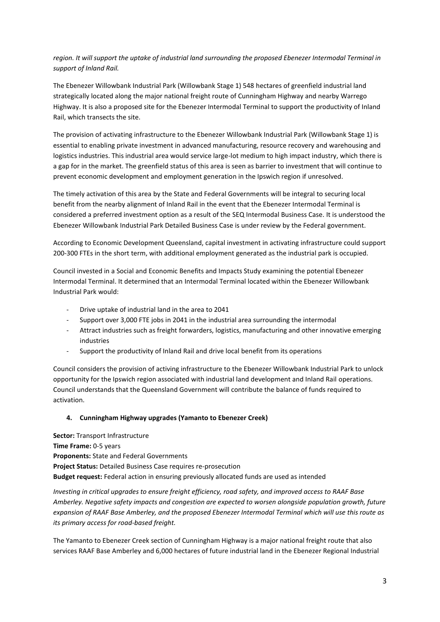# *region. It will support the uptake of industrial land surrounding the proposed Ebenezer Intermodal Terminal in support of Inland Rail.*

The Ebenezer Willowbank Industrial Park (Willowbank Stage 1) 548 hectares of greenfield industrial land strategically located along the major national freight route of Cunningham Highway and nearby Warrego Highway. It is also a proposed site for the Ebenezer Intermodal Terminal to support the productivity of Inland Rail, which transects the site.

The provision of activating infrastructure to the Ebenezer Willowbank Industrial Park (Willowbank Stage 1) is essential to enabling private investment in advanced manufacturing, resource recovery and warehousing and logistics industries. This industrial area would service large-lot medium to high impact industry, which there is a gap for in the market. The greenfield status of this area is seen as barrier to investment that will continue to prevent economic development and employment generation in the Ipswich region if unresolved.

The timely activation of this area by the State and Federal Governments will be integral to securing local benefit from the nearby alignment of Inland Rail in the event that the Ebenezer Intermodal Terminal is considered a preferred investment option as a result of the SEQ Intermodal Business Case. It is understood the Ebenezer Willowbank Industrial Park Detailed Business Case is under review by the Federal government.

According to Economic Development Queensland, capital investment in activating infrastructure could support 200-300 FTEs in the short term, with additional employment generated as the industrial park is occupied.

Council invested in a Social and Economic Benefits and Impacts Study examining the potential Ebenezer Intermodal Terminal. It determined that an Intermodal Terminal located within the Ebenezer Willowbank Industrial Park would:

- Drive uptake of industrial land in the area to 2041
- Support over 3,000 FTE jobs in 2041 in the industrial area surrounding the intermodal
- Attract industries such as freight forwarders, logistics, manufacturing and other innovative emerging industries
- Support the productivity of Inland Rail and drive local benefit from its operations

Council considers the provision of activing infrastructure to the Ebenezer Willowbank Industrial Park to unlock opportunity for the Ipswich region associated with industrial land development and Inland Rail operations. Council understands that the Queensland Government will contribute the balance of funds required to activation.

#### **4. Cunningham Highway upgrades (Yamanto to Ebenezer Creek)**

**Sector:** Transport Infrastructure **Time Frame:** 0-5 years **Proponents:** State and Federal Governments **Project Status:** Detailed Business Case requires re-prosecution **Budget request:** Federal action in ensuring previously allocated funds are used as intended

*Investing in critical upgrades to ensure freight efficiency, road safety, and improved access to RAAF Base Amberley. Negative safety impacts and congestion are expected to worsen alongside population growth, future expansion of RAAF Base Amberley, and the proposed Ebenezer Intermodal Terminal which will use this route as its primary access for road-based freight.* 

The Yamanto to Ebenezer Creek section of Cunningham Highway is a major national freight route that also services RAAF Base Amberley and 6,000 hectares of future industrial land in the Ebenezer Regional Industrial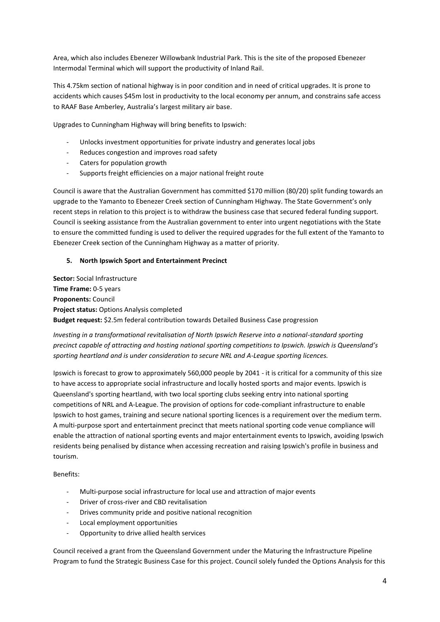Area, which also includes Ebenezer Willowbank Industrial Park. This is the site of the proposed Ebenezer Intermodal Terminal which will support the productivity of Inland Rail.

This 4.75km section of national highway is in poor condition and in need of critical upgrades. It is prone to accidents which causes \$45m lost in productivity to the local economy per annum, and constrains safe access to RAAF Base Amberley, Australia's largest military air base.

Upgrades to Cunningham Highway will bring benefits to Ipswich:

- Unlocks investment opportunities for private industry and generates local jobs
- Reduces congestion and improves road safety
- Caters for population growth
- Supports freight efficiencies on a major national freight route

Council is aware that the Australian Government has committed \$170 million (80/20) split funding towards an upgrade to the Yamanto to Ebenezer Creek section of Cunningham Highway. The State Government's only recent steps in relation to this project is to withdraw the business case that secured federal funding support. Council is seeking assistance from the Australian government to enter into urgent negotiations with the State to ensure the committed funding is used to deliver the required upgrades for the full extent of the Yamanto to Ebenezer Creek section of the Cunningham Highway as a matter of priority.

#### **5. North Ipswich Sport and Entertainment Precinct**

**Sector:** Social Infrastructure **Time Frame:** 0-5 years **Proponents:** Council **Project status:** Options Analysis completed **Budget request:** \$2.5m federal contribution towards Detailed Business Case progression

*Investing in a transformational revitalisation of North Ipswich Reserve into a national-standard sporting precinct capable of attracting and hosting national sporting competitions to Ipswich. Ipswich is Queensland's sporting heartland and is under consideration to secure NRL and A-League sporting licences.* 

Ipswich is forecast to grow to approximately 560,000 people by 2041 - it is critical for a community of this size to have access to appropriate social infrastructure and locally hosted sports and major events. Ipswich is Queensland's sporting heartland, with two local sporting clubs seeking entry into national sporting competitions of NRL and A-League. The provision of options for code-compliant infrastructure to enable Ipswich to host games, training and secure national sporting licences is a requirement over the medium term. A multi-purpose sport and entertainment precinct that meets national sporting code venue compliance will enable the attraction of national sporting events and major entertainment events to Ipswich, avoiding Ipswich residents being penalised by distance when accessing recreation and raising Ipswich's profile in business and tourism.

Benefits:

- Multi-purpose social infrastructure for local use and attraction of major events
- Driver of cross-river and CBD revitalisation
- Drives community pride and positive national recognition
- Local employment opportunities
- Opportunity to drive allied health services

Council received a grant from the Queensland Government under the Maturing the Infrastructure Pipeline Program to fund the Strategic Business Case for this project. Council solely funded the Options Analysis for this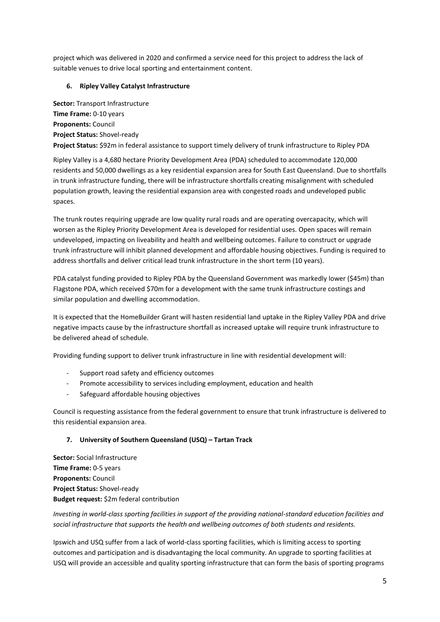project which was delivered in 2020 and confirmed a service need for this project to address the lack of suitable venues to drive local sporting and entertainment content.

### **6. Ripley Valley Catalyst Infrastructure**

**Sector:** Transport Infrastructure **Time Frame:** 0-10 years **Proponents:** Council **Project Status:** Shovel-ready **Project Status:** \$92m in federal assistance to support timely delivery of trunk infrastructure to Ripley PDA

Ripley Valley is a 4,680 hectare Priority Development Area (PDA) scheduled to accommodate 120,000 residents and 50,000 dwellings as a key residential expansion area for South East Queensland. Due to shortfalls in trunk infrastructure funding, there will be infrastructure shortfalls creating misalignment with scheduled population growth, leaving the residential expansion area with congested roads and undeveloped public spaces.

The trunk routes requiring upgrade are low quality rural roads and are operating overcapacity, which will worsen as the Ripley Priority Development Area is developed for residential uses. Open spaces will remain undeveloped, impacting on liveability and health and wellbeing outcomes. Failure to construct or upgrade trunk infrastructure will inhibit planned development and affordable housing objectives. Funding is required to address shortfalls and deliver critical lead trunk infrastructure in the short term (10 years).

PDA catalyst funding provided to Ripley PDA by the Queensland Government was markedly lower (\$45m) than Flagstone PDA, which received \$70m for a development with the same trunk infrastructure costings and similar population and dwelling accommodation.

It is expected that the HomeBuilder Grant will hasten residential land uptake in the Ripley Valley PDA and drive negative impacts cause by the infrastructure shortfall as increased uptake will require trunk infrastructure to be delivered ahead of schedule.

Providing funding support to deliver trunk infrastructure in line with residential development will:

- Support road safety and efficiency outcomes
- Promote accessibility to services including employment, education and health
- Safeguard affordable housing objectives

Council is requesting assistance from the federal government to ensure that trunk infrastructure is delivered to this residential expansion area.

### **7. University of Southern Queensland (USQ) – Tartan Track**

**Sector:** Social Infrastructure **Time Frame:** 0-5 years **Proponents:** Council **Project Status:** Shovel-ready **Budget request:** \$2m federal contribution

*Investing in world-class sporting facilities in support of the providing national-standard education facilities and social infrastructure that supports the health and wellbeing outcomes of both students and residents.* 

Ipswich and USQ suffer from a lack of world-class sporting facilities, which is limiting access to sporting outcomes and participation and is disadvantaging the local community. An upgrade to sporting facilities at USQ will provide an accessible and quality sporting infrastructure that can form the basis of sporting programs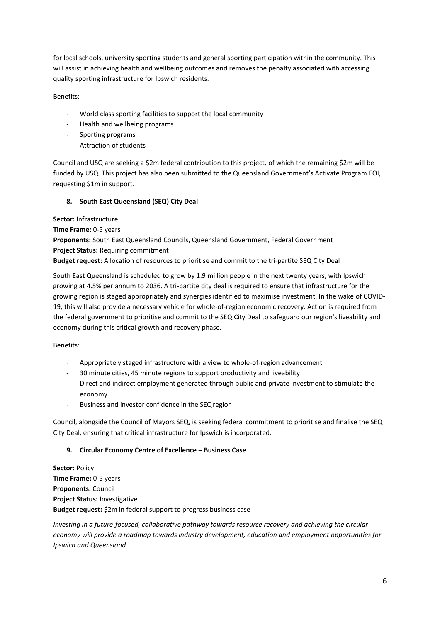for local schools, university sporting students and general sporting participation within the community. This will assist in achieving health and wellbeing outcomes and removes the penalty associated with accessing quality sporting infrastructure for Ipswich residents.

Benefits:

- World class sporting facilities to support the local community
- Health and wellbeing programs
- Sporting programs
- Attraction of students

Council and USQ are seeking a \$2m federal contribution to this project, of which the remaining \$2m will be funded by USQ. This project has also been submitted to the Queensland Government's Activate Program EOI, requesting \$1m in support.

### **8. South East Queensland (SEQ) City Deal**

**Sector:** Infrastructure

**Time Frame:** 0-5 years

**Proponents:** South East Queensland Councils, Queensland Government, Federal Government **Project Status:** Requiring commitment

**Budget request:** Allocation of resources to prioritise and commit to the tri-partite SEQ City Deal

South East Queensland is scheduled to grow by 1.9 million people in the next twenty years, with Ipswich growing at 4.5% per annum to 2036. A tri-partite city deal is required to ensure that infrastructure for the growing region is staged appropriately and synergies identified to maximise investment. In the wake of COVID-19, this will also provide a necessary vehicle for whole-of-region economic recovery. Action is required from the federal government to prioritise and commit to the SEQ City Deal to safeguard our region's liveability and economy during this critical growth and recovery phase.

Benefits:

- Appropriately staged infrastructure with a view to whole-of-region advancement
- 30 minute cities, 45 minute regions to support productivity and liveability
- Direct and indirect employment generated through public and private investment to stimulate the economy
- Business and investor confidence in the SEQ region

Council, alongside the Council of Mayors SEQ, is seeking federal commitment to prioritise and finalise the SEQ City Deal, ensuring that critical infrastructure for Ipswich is incorporated.

### **9. Circular Economy Centre of Excellence – Business Case**

**Sector:** Policy **Time Frame:** 0-5 years **Proponents:** Council **Project Status:** Investigative **Budget request:** \$2m in federal support to progress business case

*Investing in a future-focused, collaborative pathway towards resource recovery and achieving the circular economy will provide a roadmap towards industry development, education and employment opportunities for Ipswich and Queensland.*